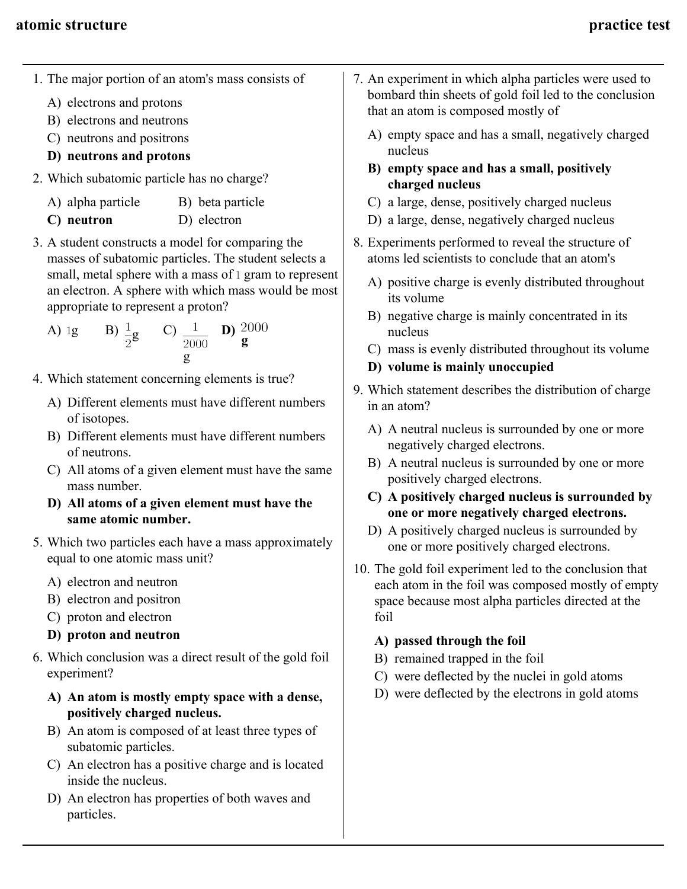- 1. The major portion of an atom's mass consists of
	- A) electrons and protons
	- B) electrons and neutrons
	- C) neutrons and positrons
	- **D) neutrons and protons**
- 2. Which subatomic particle has no charge?
	- A) alpha particle B) beta particle
	- **C) neutron** D) electron
- 3. A student constructs a model for comparing the masses of subatomic particles. The student selects a small, metal sphere with a mass of  $1$  gram to represent an electron. A sphere with which mass would be most appropriate to represent a proton?

A) 1g B) 
$$
\frac{1}{2}
$$
g C)  $\frac{1}{2000}$  D)  $\frac{2000}{g}$ 

- 4. Which statement concerning elements is true?
	- A) Different elements must have different numbers of isotopes.
	- B) Different elements must have different numbers of neutrons.
	- C) All atoms of a given element must have the same mass number.
	- **D) All atoms of a given element must have the same atomic number.**
- 5. Which two particles each have a mass approximately equal to one atomic mass unit?
	- A) electron and neutron
	- B) electron and positron
	- C) proton and electron
	- **D) proton and neutron**
- 6. Which conclusion was a direct result of the gold foil experiment?
	- **A) An atom is mostly empty space with a dense, positively charged nucleus.**
	- B) An atom is composed of at least three types of subatomic particles.
	- C) An electron has a positive charge and is located inside the nucleus.
	- D) An electron has properties of both waves and particles.
- 7. An experiment in which alpha particles were used to bombard thin sheets of gold foil led to the conclusion that an atom is composed mostly of
	- A) empty space and has a small, negatively charged nucleus
	- **B) empty space and has a small, positively charged nucleus**
	- C) a large, dense, positively charged nucleus
	- D) a large, dense, negatively charged nucleus
- 8. Experiments performed to reveal the structure of atoms led scientists to conclude that an atom's
	- A) positive charge is evenly distributed throughout its volume
	- B) negative charge is mainly concentrated in its nucleus
	- C) mass is evenly distributed throughout its volume
	- **D) volume is mainly unoccupied**
- 9. Which statement describes the distribution of charge in an atom?
	- A) A neutral nucleus is surrounded by one or more negatively charged electrons.
	- B) A neutral nucleus is surrounded by one or more positively charged electrons.
	- **C) A positively charged nucleus is surrounded by one or more negatively charged electrons.**
	- D) A positively charged nucleus is surrounded by one or more positively charged electrons.
- 10. The gold foil experiment led to the conclusion that each atom in the foil was composed mostly of empty space because most alpha particles directed at the foil

# **A) passed through the foil**

- B) remained trapped in the foil
- C) were deflected by the nuclei in gold atoms
- D) were deflected by the electrons in gold atoms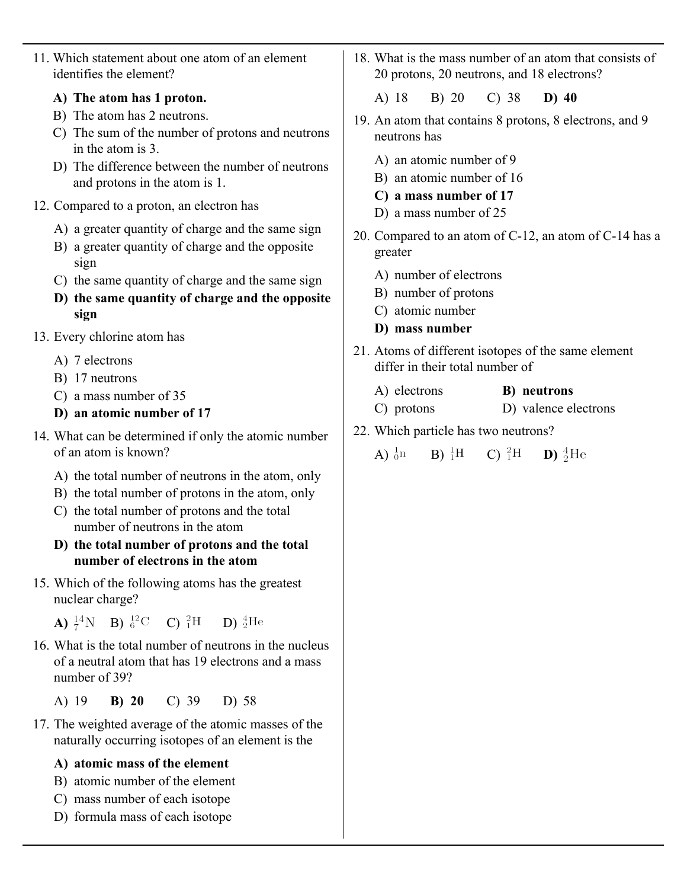11. Which statement about one atom of an element identifies the element?

### **A) The atom has 1 proton.**

- B) The atom has 2 neutrons.
- C) The sum of the number of protons and neutrons in the atom is 3.
- D) The difference between the number of neutrons and protons in the atom is 1.
- 12. Compared to a proton, an electron has
	- A) a greater quantity of charge and the same sign
	- B) a greater quantity of charge and the opposite sign
	- C) the same quantity of charge and the same sign
	- **D) the same quantity of charge and the opposite sign**
- 13. Every chlorine atom has
	- A) 7 electrons
	- B) 17 neutrons
	- C) a mass number of 35
	- **D) an atomic number of 17**
- 14. What can be determined if only the atomic number of an atom is known?
	- A) the total number of neutrons in the atom, only
	- B) the total number of protons in the atom, only
	- C) the total number of protons and the total number of neutrons in the atom
	- **D) the total number of protons and the total number of electrons in the atom**
- 15. Which of the following atoms has the greatest nuclear charge?

**A)**  $^{14}_{7}N$  **B)**  $^{12}_{6}C$  **C)**  $^{2}_{1}H$  **D)**  $^{4}_{2}He$ 

- 16. What is the total number of neutrons in the nucleus of a neutral atom that has 19 electrons and a mass number of 39?
	- A) 19 **B) 20** C) 39 D) 58
- 17. The weighted average of the atomic masses of the naturally occurring isotopes of an element is the

# **A) atomic mass of the element**

- B) atomic number of the element
- C) mass number of each isotope
- D) formula mass of each isotope
- 18. What is the mass number of an atom that consists of 20 protons, 20 neutrons, and 18 electrons?
	- A) 18 B) 20 C) 38 **D) 40**
- 19. An atom that contains 8 protons, 8 electrons, and 9 neutrons has
	- A) an atomic number of 9
	- B) an atomic number of 16
	- **C) a mass number of 17**
	- D) a mass number of 25
- 20. Compared to an atom of C-12, an atom of C-14 has a greater
	- A) number of electrons
	- B) number of protons
	- C) atomic number
	- **D) mass number**
- 21. Atoms of different isotopes of the same element differ in their total number of
	- A) electrons **B) neutrons**
	- C) protons D) valence electrons
- 22. Which particle has two neutrons?

A)  $_{0}^{1}n$  B)  $_{1}^{1}H$  C)  $_{1}^{2}H$  **D)**  $_{2}^{4}He$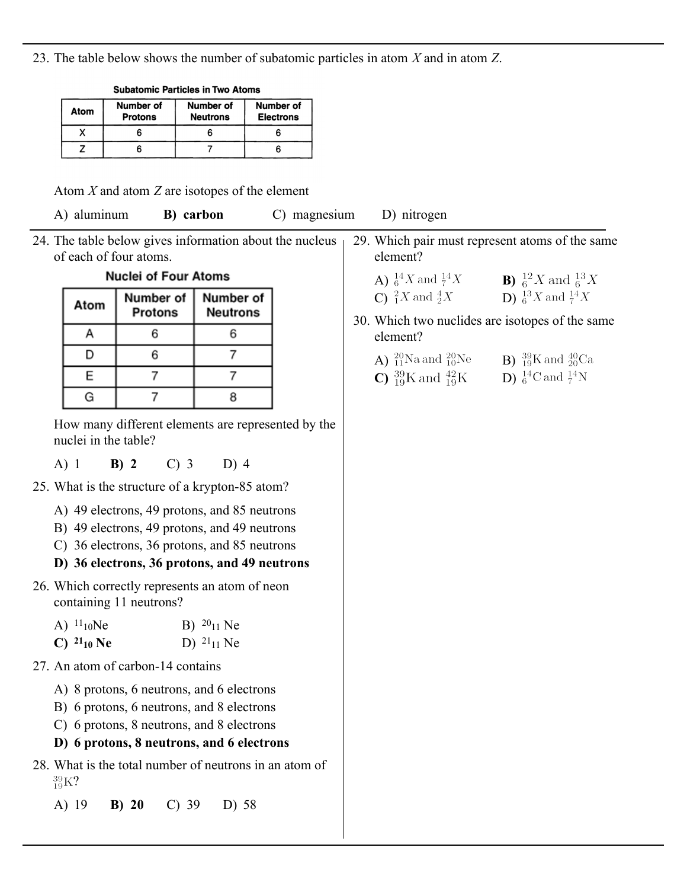23. The table below shows the number of subatomic particles in atom *X* and in atom *Z*.

| <b>SUDAMING FAILIGES III IWO ALUILIS</b> |                             |                              |                                      |  |
|------------------------------------------|-----------------------------|------------------------------|--------------------------------------|--|
| Atom                                     | Number of<br><b>Protons</b> | Number of<br><b>Neutrons</b> | <b>Number of</b><br><b>Electrons</b> |  |
|                                          |                             |                              |                                      |  |
|                                          |                             |                              |                                      |  |

Cubatamia Dertiales in Ture Atama

Atom *X* and atom *Z* are isotopes of the element

A) aluminum **B) carbon** C) magnesium D) nitrogen

24. The table below gives information about the nucleus of each of four atoms.

#### **Nuclei of Four Atoms**

| Atom | Number of<br><b>Protons</b> | Number of<br><b>Neutrons</b> |  |
|------|-----------------------------|------------------------------|--|
|      |                             |                              |  |
|      |                             |                              |  |
| E    |                             |                              |  |
|      |                             |                              |  |

How many different elements are represented by the nuclei in the table?

A) 1 **B) 2** C) 3 D) 4

- 25. What is the structure of a krypton-85 atom?
	- A) 49 electrons, 49 protons, and 85 neutrons
	- B) 49 electrons, 49 protons, and 49 neutrons
	- C) 36 electrons, 36 protons, and 85 neutrons

# **D) 36 electrons, 36 protons, and 49 neutrons**

26. Which correctly represents an atom of neon containing 11 neutrons?

| A) $^{11}$ <sub>10</sub> Ne | B) $^{20}$ <sub>11</sub> Ne |
|-----------------------------|-----------------------------|
| C) $^{21}$ 10 Ne            | D) $^{21}$ <sub>11</sub> Ne |

- 27. An atom of carbon-14 contains
	- A) 8 protons, 6 neutrons, and 6 electrons
	- B) 6 protons, 6 neutrons, and 8 electrons
	- C) 6 protons, 8 neutrons, and 8 electrons
	- **D) 6 protons, 8 neutrons, and 6 electrons**
- 28. What is the total number of neutrons in an atom of  $^{39}_{19}$ K?

# A) 19 **B) 20** C) 39 D) 58

- 29. Which pair must represent atoms of the same element?
	- **A)**  ${}_{6}^{14}X$  and  ${}_{7}^{14}X$ <br> **B)**  ${}_{6}^{12}X$  and  ${}_{6}^{13}X$ <br> **C)**  ${}_{1}^{2}X$  and  ${}_{2}^{4}X$ <br> **D)**  ${}_{6}^{13}X$  and  ${}_{7}^{14}X$ C)  ${}^{2}_{1}X$  and  ${}^{4}_{2}X$
- 30. Which two nuclides are isotopes of the same element?
	- **A)**  ${}^{20}_{11}$ Na and  ${}^{20}_{10}$ Ne **B)**  ${}^{39}_{19}$ K and  ${}^{40}_{20}$ Ca **C)**  ${}^{39}_{19}$ K and  ${}^{42}_{19}$ K **D)**  ${}^{14}_{6}$ C and  ${}^{14}_{7}$ N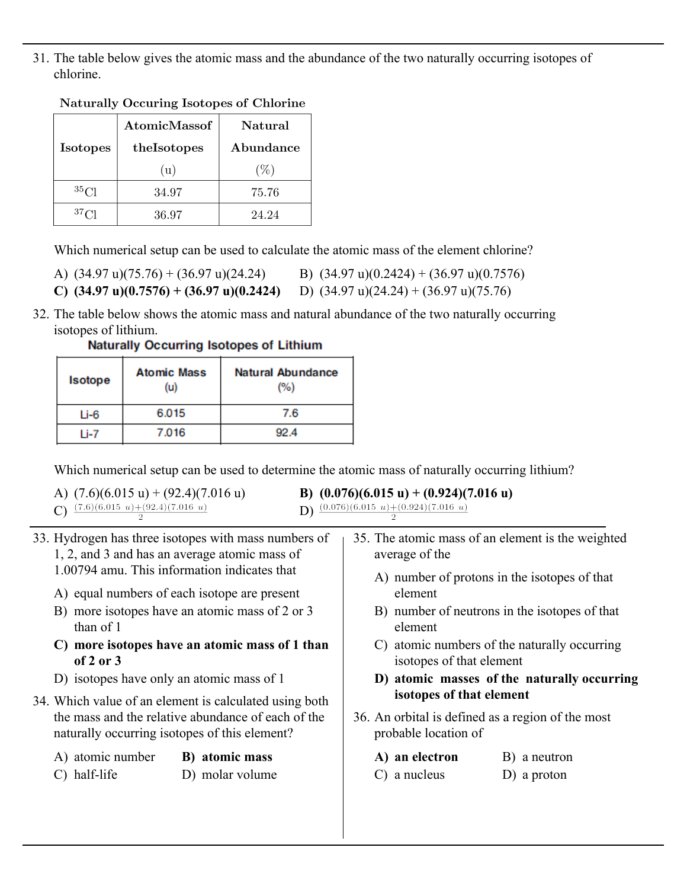31. The table below gives the atomic mass and the abundance of the two naturally occurring isotopes of chlorine.

|                 | <b>AtomicMassof</b> | Natural   |  |
|-----------------|---------------------|-----------|--|
| <b>Isotopes</b> | theIsotopes         | Abundance |  |
|                 | (u)                 | (9)       |  |
| 35C1            | 34.97               | 75.76     |  |
| 37C1            | 36.97               | 24.24     |  |

#### **Naturally Occuring Isotopes of Chlorine**

Which numerical setup can be used to calculate the atomic mass of the element chlorine?

| A) $(34.97 \text{ u})(75.76) + (36.97 \text{ u})(24.24)$   | B) $(34.97 \text{ u})(0.2424) + (36.97 \text{ u})(0.7576)$ |
|------------------------------------------------------------|------------------------------------------------------------|
| C) $(34.97 \text{ u})(0.7576) + (36.97 \text{ u})(0.2424)$ | D) $(34.97 \text{ u})(24.24) + (36.97 \text{ u})(75.76)$   |

32. The table below shows the atomic mass and natural abundance of the two naturally occurring isotopes of lithium.

| <b>Isotope</b> | <b>Atomic Mass</b><br>(u) | <b>Natural Abundance</b><br>(%) |  |
|----------------|---------------------------|---------------------------------|--|
| $Li-6$         | 6.015                     | 7.6                             |  |
| l i-7          | 7.016                     | 92.4                            |  |

**Naturally Occurring Isotopes of Lithium** 

Which numerical setup can be used to determine the atomic mass of naturally occurring lithium?

A)  $(7.6)(6.015 \text{ u}) + (92.4)(7.016 \text{ u})$ <br>
B)  $(0.076)(6.015 \text{ u}) + (0.924)(7.016 \text{ u})$ <br>
D)  $\frac{(0.076)(6.015 \text{ u}) + (0.924)(7.016 \text{ u})}{2}$ C)  $\frac{(7.6)(6.015 \ u)+(92.4)(7.016 \ u)}{2}$ 

| 33. Hydrogen has three isotopes with mass numbers of<br>1, 2, and 3 and has an average atomic mass of<br>1.00794 amu. This information indicates that<br>A) equal numbers of each isotope are present<br>B) more isotopes have an atomic mass of 2 or 3<br>than of $1$<br>C) more isotopes have an atomic mass of 1 than<br>of $2$ or $3$<br>D) isotopes have only an atomic mass of 1 |                                   | 35. The atomic mass of an element is the weighted<br>average of the<br>A) number of protons in the isotopes of that<br>element<br>B) number of neutrons in the isotopes of that<br>element<br>C) atomic numbers of the naturally occurring<br>isotopes of that element<br>D) atomic masses of the naturally occurring |                                                   |
|----------------------------------------------------------------------------------------------------------------------------------------------------------------------------------------------------------------------------------------------------------------------------------------------------------------------------------------------------------------------------------------|-----------------------------------|-----------------------------------------------------------------------------------------------------------------------------------------------------------------------------------------------------------------------------------------------------------------------------------------------------------------------|---------------------------------------------------|
| 34. Which value of an element is calculated using both<br>the mass and the relative abundance of each of the<br>naturally occurring isotopes of this element?                                                                                                                                                                                                                          |                                   | isotopes of that element<br>probable location of                                                                                                                                                                                                                                                                      | 36. An orbital is defined as a region of the most |
| A) atomic number<br>C) half-life                                                                                                                                                                                                                                                                                                                                                       | B) atomic mass<br>D) molar volume | A) an electron<br>$C$ ) a nucleus                                                                                                                                                                                                                                                                                     | B) a neutron<br>$D)$ a proton                     |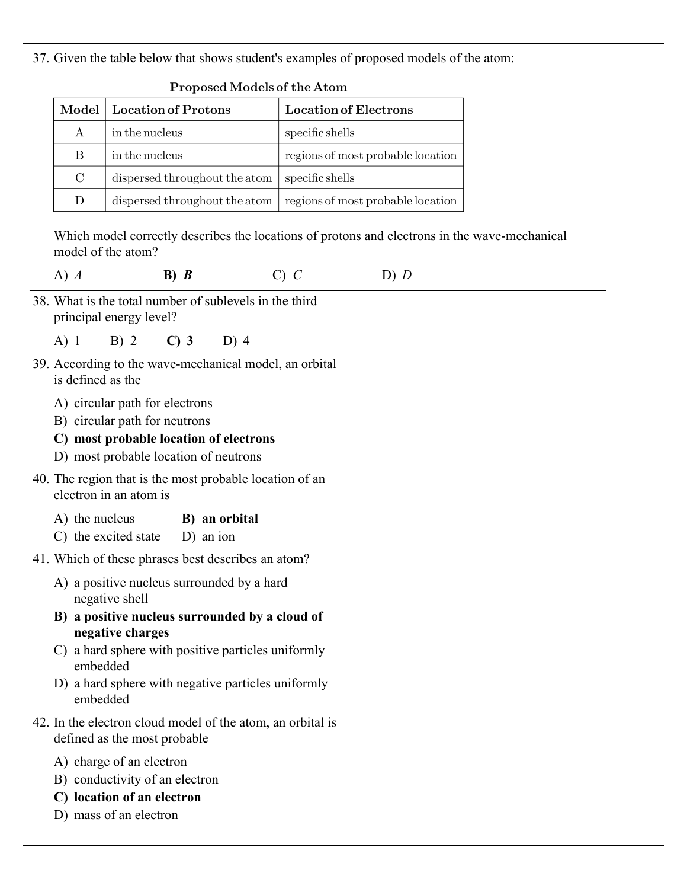37. Given the table below that shows student's examples of proposed models of the atom:

| Model   | <b>Location of Protons</b>    | <b>Location of Electrons</b>      |
|---------|-------------------------------|-----------------------------------|
| А       | in the nucleus                | specific shells                   |
| B       | in the nucleus                | regions of most probable location |
| $\rm C$ | dispersed throughout the atom | specific shells                   |
| D       | dispersed throughout the atom | regions of most probable location |

#### Proposed Models of the Atom

Which model correctly describes the locations of protons and electrons in the wave-mechanical model of the atom?

| A) $A$ | $B)$ $B$ | $C$ ) $C$ | $D)$ $D$ |
|--------|----------|-----------|----------|
|--------|----------|-----------|----------|

38. What is the total number of sublevels in the third principal energy level?

A) 1 B) 2 **C) 3** D) 4

- 39. According to the wave-mechanical model, an orbital is defined as the
	- A) circular path for electrons
	- B) circular path for neutrons
	- **C) most probable location of electrons**
	- D) most probable location of neutrons
- 40. The region that is the most probable location of an electron in an atom is
	- A) the nucleus **B) an orbital**
	- C) the excited state D) an ion
- 41. Which of these phrases best describes an atom?
	- A) a positive nucleus surrounded by a hard negative shell
	- **B) a positive nucleus surrounded by a cloud of negative charges**
	- C) a hard sphere with positive particles uniformly embedded
	- D) a hard sphere with negative particles uniformly embedded
- 42. In the electron cloud model of the atom, an orbital is defined as the most probable
	- A) charge of an electron
	- B) conductivity of an electron
	- **C) location of an electron**
	- D) mass of an electron